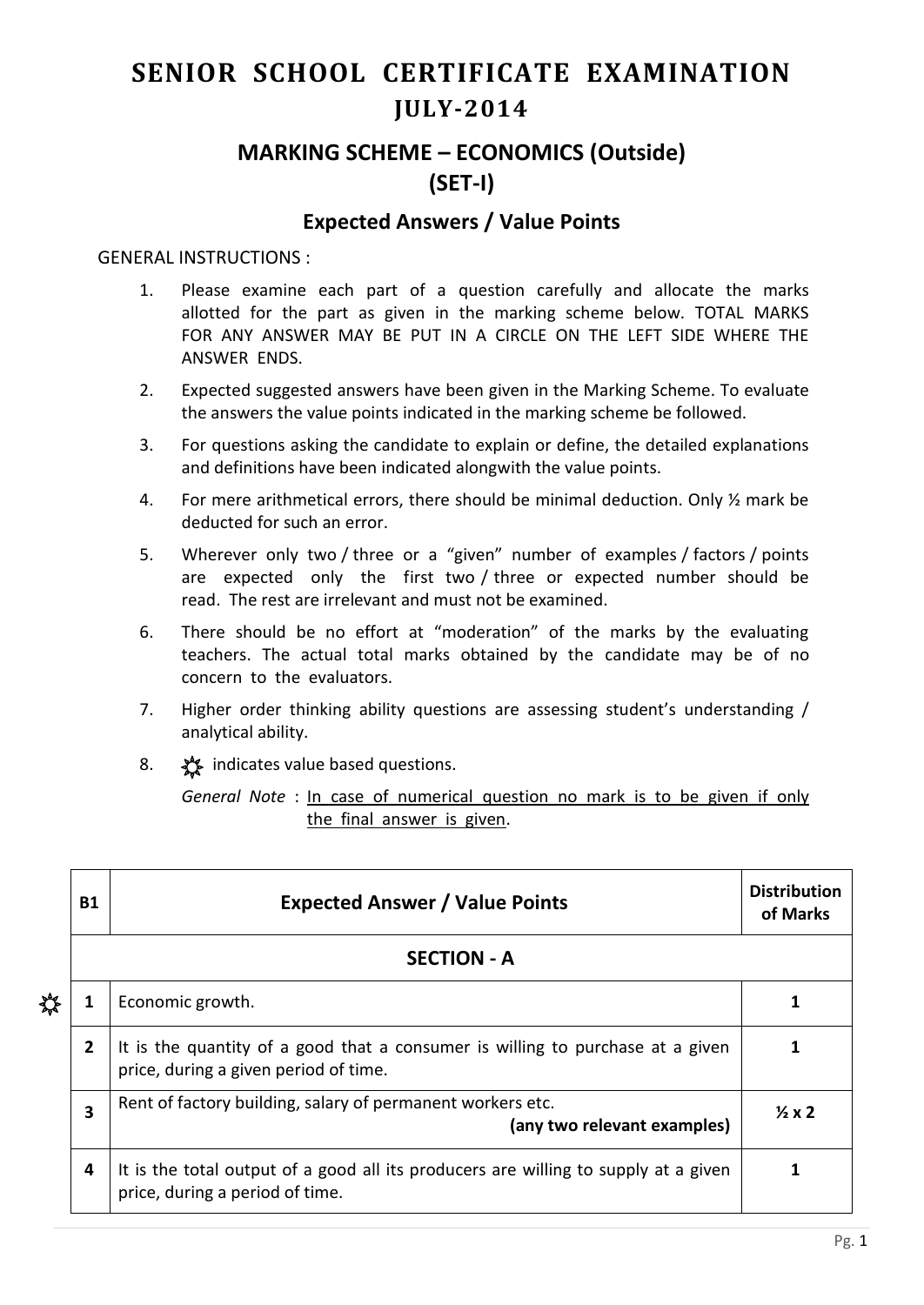## **SENIOR SCHOOL CERTIFICATE EXAMINATION JULY-2014**

## **MARKING SCHEME – ECONOMICS (Outside) (SET-I)**

## **Expected Answers / Value Points**

## GENERAL INSTRUCTIONS :

- 1. Please examine each part of a question carefully and allocate the marks allotted for the part as given in the marking scheme below. TOTAL MARKS FOR ANY ANSWER MAY BE PUT IN A CIRCLE ON THE LEFT SIDE WHERE THE ANSWER ENDS.
- 2. Expected suggested answers have been given in the Marking Scheme. To evaluate the answers the value points indicated in the marking scheme be followed.
- 3. For questions asking the candidate to explain or define, the detailed explanations and definitions have been indicated alongwith the value points.
- 4. For mere arithmetical errors, there should be minimal deduction. Only ½ mark be deducted for such an error.
- 5. Wherever only two / three or a "given" number of examples / factors / points are expected only the first two / three or expected number should be read. The rest are irrelevant and must not be examined.
- 6. There should be no effort at "moderation" of the marks by the evaluating teachers. The actual total marks obtained by the candidate may be of no concern to the evaluators.
- 7. Higher order thinking ability questions are assessing student's understanding / analytical ability.
- 8.  $\frac{1}{2}$  indicates value based questions.

*General Note* : In case of numerical question no mark is to be given if only the final answer is given.

|   | <b>B1</b>      | <b>Expected Answer / Value Points</b>                                                                                   | <b>Distribution</b><br>of Marks |
|---|----------------|-------------------------------------------------------------------------------------------------------------------------|---------------------------------|
|   |                | <b>SECTION - A</b>                                                                                                      |                                 |
| ₩ | 1              | Economic growth.                                                                                                        |                                 |
|   | $\overline{2}$ | It is the quantity of a good that a consumer is willing to purchase at a given<br>price, during a given period of time. |                                 |
|   | 3              | Rent of factory building, salary of permanent workers etc.<br>(any two relevant examples)                               | $\frac{1}{2}x2$                 |
|   | 4              | It is the total output of a good all its producers are willing to supply at a given<br>price, during a period of time.  |                                 |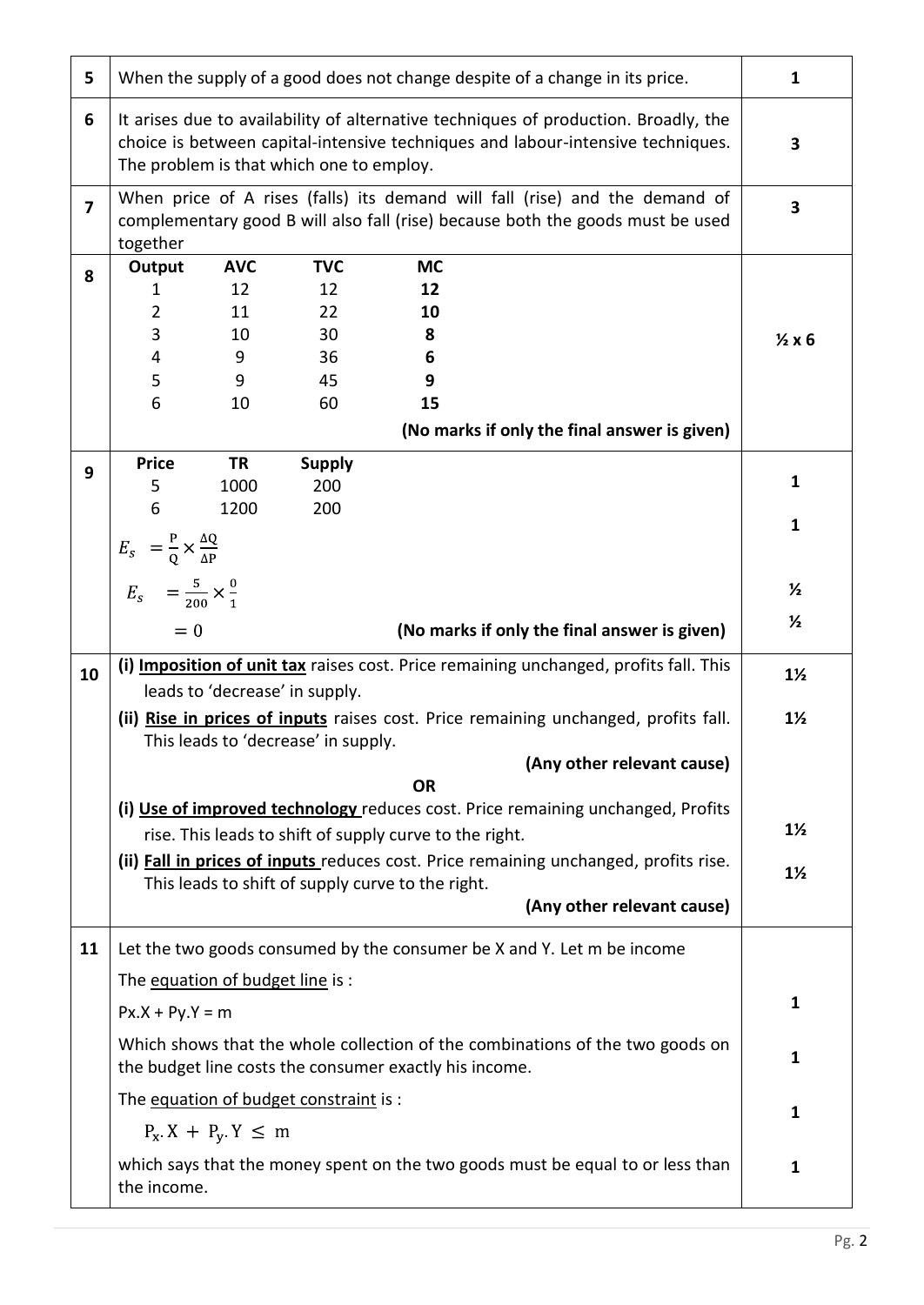| 5              | When the supply of a good does not change despite of a change in its price.                                                                                                                                                                     |                                        |                                          |                                      |  | 1                 |  |
|----------------|-------------------------------------------------------------------------------------------------------------------------------------------------------------------------------------------------------------------------------------------------|----------------------------------------|------------------------------------------|--------------------------------------|--|-------------------|--|
| 6              | It arises due to availability of alternative techniques of production. Broadly, the<br>choice is between capital-intensive techniques and labour-intensive techniques.<br>The problem is that which one to employ.                              |                                        |                                          |                                      |  |                   |  |
| $\overline{7}$ | When price of A rises (falls) its demand will fall (rise) and the demand of<br>complementary good B will also fall (rise) because both the goods must be used<br>together                                                                       |                                        |                                          |                                      |  |                   |  |
| 8              | Output<br>1<br>$\overline{2}$<br>3<br>4<br>5                                                                                                                                                                                                    | <b>AVC</b><br>12<br>11<br>10<br>9<br>9 | <b>TVC</b><br>12<br>22<br>30<br>36<br>45 | <b>MC</b><br>12<br>10<br>8<br>6<br>9 |  | $\frac{1}{2}x6$   |  |
|                | 6<br>10<br>60<br>15<br>(No marks if only the final answer is given)                                                                                                                                                                             |                                        |                                          |                                      |  |                   |  |
| 9              | <b>Price</b><br><b>TR</b><br><b>Supply</b><br>5<br>1000<br>200<br>6<br>1200<br>200<br>$E_s = \frac{P}{Q} \times \frac{\Delta Q}{\Delta P}$                                                                                                      |                                        |                                          |                                      |  | 1<br>$\mathbf{1}$ |  |
|                | $E_{s} = \frac{5}{200} \times \frac{0}{1}$<br>$= 0$                                                                                                                                                                                             | $\frac{1}{2}$<br>$\frac{1}{2}$         |                                          |                                      |  |                   |  |
| 10             | (i) Imposition of unit tax raises cost. Price remaining unchanged, profits fall. This                                                                                                                                                           |                                        |                                          |                                      |  |                   |  |
|                | leads to 'decrease' in supply.<br>(ii) Rise in prices of inputs raises cost. Price remaining unchanged, profits fall.<br>This leads to 'decrease' in supply.                                                                                    |                                        |                                          |                                      |  |                   |  |
|                | (Any other relevant cause)                                                                                                                                                                                                                      |                                        |                                          |                                      |  |                   |  |
|                | <b>OR</b><br>(i) Use of improved technology reduces cost. Price remaining unchanged, Profits<br>rise. This leads to shift of supply curve to the right.<br>(ii) Fall in prices of inputs reduces cost. Price remaining unchanged, profits rise. |                                        |                                          |                                      |  |                   |  |
|                | This leads to shift of supply curve to the right.<br>(Any other relevant cause)                                                                                                                                                                 |                                        |                                          |                                      |  |                   |  |
| 11             | Let the two goods consumed by the consumer be X and Y. Let m be income                                                                                                                                                                          |                                        |                                          |                                      |  |                   |  |
|                | The equation of budget line is:                                                                                                                                                                                                                 |                                        |                                          |                                      |  |                   |  |
|                | $Px.X + Py.Y = m$                                                                                                                                                                                                                               |                                        |                                          |                                      |  |                   |  |
|                | Which shows that the whole collection of the combinations of the two goods on<br>the budget line costs the consumer exactly his income.                                                                                                         |                                        |                                          |                                      |  |                   |  |
|                | The equation of budget constraint is :                                                                                                                                                                                                          |                                        |                                          |                                      |  |                   |  |
|                | $P_X$ X + $P_Y$ Y $\leq$ m<br>which says that the money spent on the two goods must be equal to or less than<br>the income.                                                                                                                     |                                        |                                          |                                      |  |                   |  |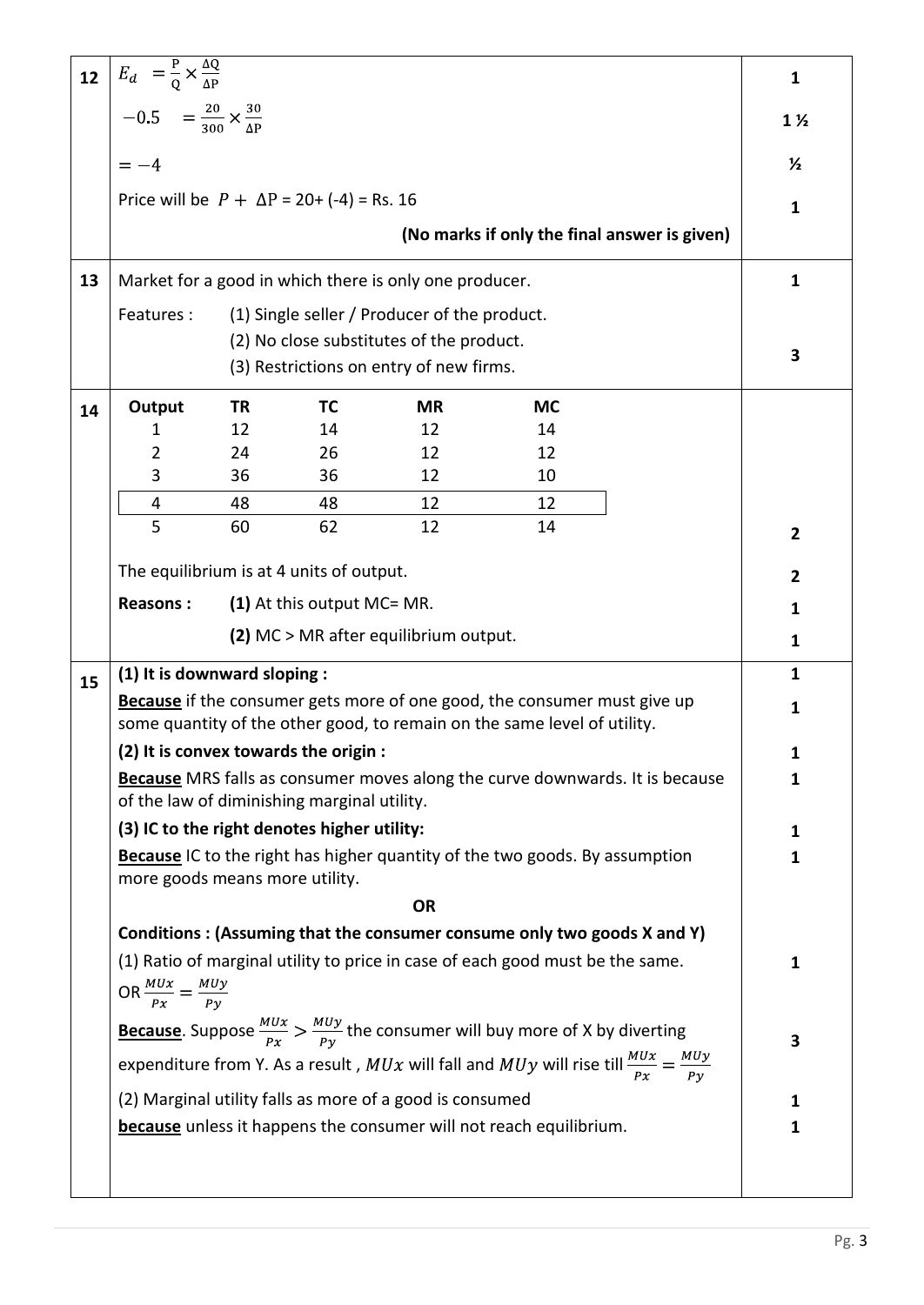| 12 |                                                                                                                                                      |    |                                                   |                                                        |                                                                                    | $\mathbf{1}$   |                |
|----|------------------------------------------------------------------------------------------------------------------------------------------------------|----|---------------------------------------------------|--------------------------------------------------------|------------------------------------------------------------------------------------|----------------|----------------|
|    | $E_d$ = $\frac{P}{Q} \times \frac{\Delta Q}{\Delta P}$<br>-0.5 = $\frac{20}{300} \times \frac{30}{\Delta P}$                                         |    |                                                   |                                                        |                                                                                    | $1\frac{1}{2}$ |                |
|    | $=-4$                                                                                                                                                |    |                                                   |                                                        |                                                                                    |                | $\frac{1}{2}$  |
|    |                                                                                                                                                      |    | Price will be $P + \Delta P = 20 + (-4) =$ Rs. 16 |                                                        |                                                                                    |                | $\mathbf{1}$   |
|    |                                                                                                                                                      |    |                                                   |                                                        | (No marks if only the final answer is given)                                       |                |                |
| 13 |                                                                                                                                                      |    |                                                   |                                                        |                                                                                    |                | $\mathbf{1}$   |
|    |                                                                                                                                                      |    |                                                   | Market for a good in which there is only one producer. |                                                                                    |                |                |
|    | (1) Single seller / Producer of the product.<br>Features:<br>(2) No close substitutes of the product.<br>(3) Restrictions on entry of new firms.     |    |                                                   |                                                        |                                                                                    |                | 3              |
| 14 | Output                                                                                                                                               | TR | TC                                                | <b>MR</b>                                              | <b>MC</b>                                                                          |                |                |
|    | 1                                                                                                                                                    | 12 | 14                                                | 12                                                     | 14                                                                                 |                |                |
|    | 2                                                                                                                                                    | 24 | 26                                                | 12                                                     | 12                                                                                 |                |                |
|    | 3                                                                                                                                                    | 36 | 36                                                | 12                                                     | 10                                                                                 |                |                |
|    | 4                                                                                                                                                    | 48 | 48                                                | 12                                                     | 12                                                                                 |                |                |
|    | 5                                                                                                                                                    | 60 | 62                                                | 12                                                     | 14                                                                                 |                | $\overline{2}$ |
|    |                                                                                                                                                      |    | The equilibrium is at 4 units of output.          |                                                        |                                                                                    |                | 2              |
|    | (1) At this output MC= MR.<br><b>Reasons:</b>                                                                                                        |    |                                                   |                                                        |                                                                                    |                | 1              |
|    |                                                                                                                                                      |    |                                                   | (2) MC > MR after equilibrium output.                  |                                                                                    |                | 1              |
| 15 | (1) It is downward sloping :                                                                                                                         |    |                                                   |                                                        |                                                                                    |                | $\mathbf{1}$   |
|    | Because if the consumer gets more of one good, the consumer must give up<br>some quantity of the other good, to remain on the same level of utility. |    |                                                   |                                                        |                                                                                    |                |                |
|    |                                                                                                                                                      |    | (2) It is convex towards the origin :             |                                                        |                                                                                    |                | 1              |
|    |                                                                                                                                                      |    | of the law of diminishing marginal utility.       |                                                        | Because MRS falls as consumer moves along the curve downwards. It is because       |                | 1              |
|    |                                                                                                                                                      |    | (3) IC to the right denotes higher utility:       |                                                        |                                                                                    |                | 1              |
|    |                                                                                                                                                      |    |                                                   |                                                        | <b>Because</b> IC to the right has higher quantity of the two goods. By assumption |                | 1              |
|    | more goods means more utility.                                                                                                                       |    |                                                   |                                                        |                                                                                    |                |                |
|    |                                                                                                                                                      |    |                                                   | <b>OR</b>                                              |                                                                                    |                |                |
|    |                                                                                                                                                      |    |                                                   |                                                        | Conditions: (Assuming that the consumer consume only two goods X and Y)            |                |                |
|    | (1) Ratio of marginal utility to price in case of each good must be the same.<br>OR $\frac{MUx}{Px} = \frac{MUy}{Py}$                                |    |                                                   |                                                        |                                                                                    |                |                |
|    | <b>Because</b> . Suppose $\frac{MUx}{Px} > \frac{MUy}{Py}$ the consumer will buy more of X by diverting                                              |    |                                                   |                                                        |                                                                                    |                |                |
|    | expenditure from Y. As a result, $MUx$ will fall and $MUy$ will rise till $\frac{MUx}{Px} = \frac{MUy}{Py}$                                          |    |                                                   |                                                        |                                                                                    |                |                |
|    | (2) Marginal utility falls as more of a good is consumed                                                                                             |    |                                                   |                                                        |                                                                                    |                | 1              |
|    | <b>because</b> unless it happens the consumer will not reach equilibrium.                                                                            |    |                                                   |                                                        |                                                                                    |                | 1              |
|    |                                                                                                                                                      |    |                                                   |                                                        |                                                                                    |                |                |
|    |                                                                                                                                                      |    |                                                   |                                                        |                                                                                    |                |                |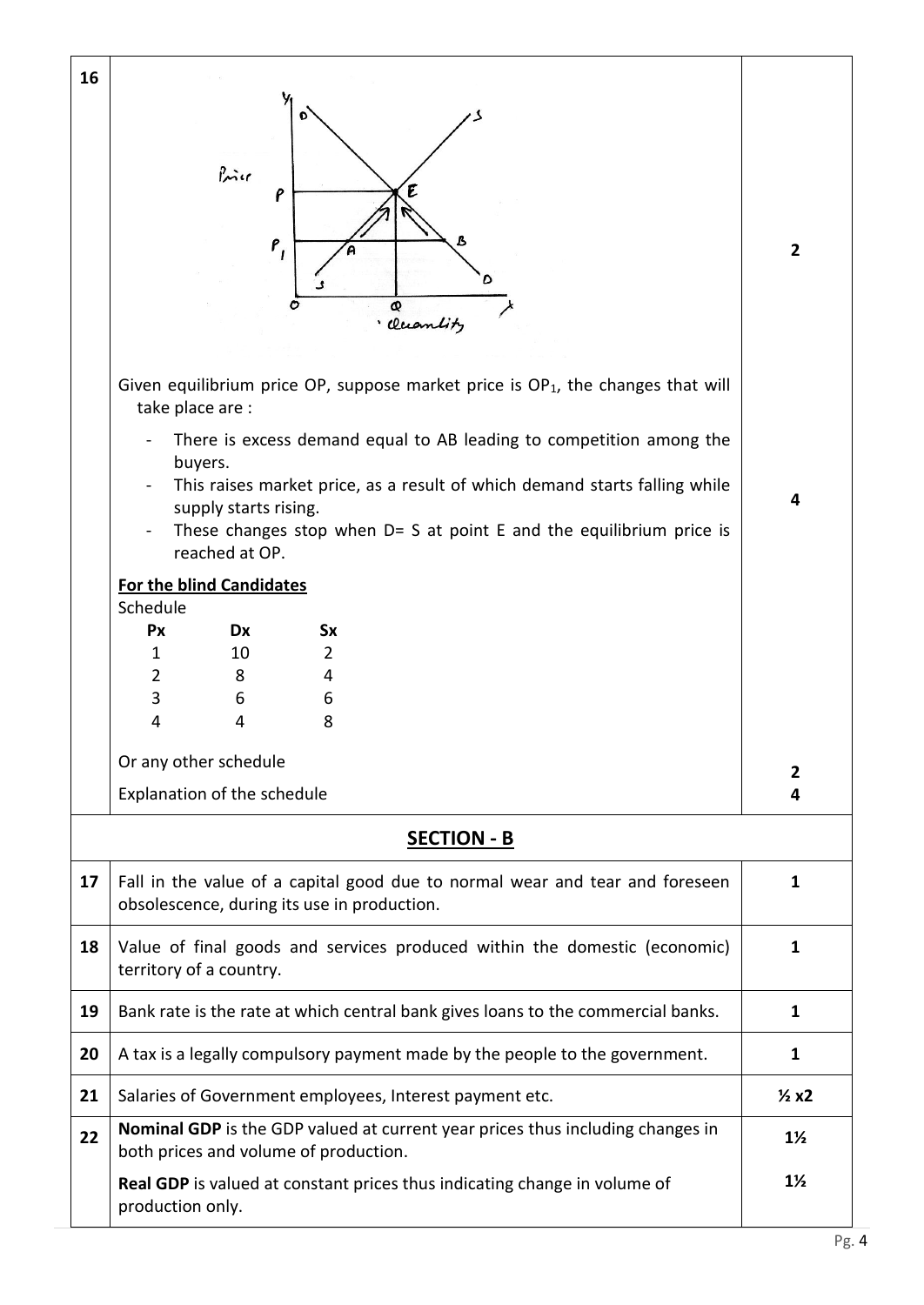| 16                                                                                                                                   |                                                                                                                                                                 |                                                                                                                                                                                                                                                                                  |  |  |  |  |
|--------------------------------------------------------------------------------------------------------------------------------------|-----------------------------------------------------------------------------------------------------------------------------------------------------------------|----------------------------------------------------------------------------------------------------------------------------------------------------------------------------------------------------------------------------------------------------------------------------------|--|--|--|--|
| Đ                                                                                                                                    |                                                                                                                                                                 |                                                                                                                                                                                                                                                                                  |  |  |  |  |
|                                                                                                                                      |                                                                                                                                                                 |                                                                                                                                                                                                                                                                                  |  |  |  |  |
| Price                                                                                                                                |                                                                                                                                                                 |                                                                                                                                                                                                                                                                                  |  |  |  |  |
|                                                                                                                                      |                                                                                                                                                                 |                                                                                                                                                                                                                                                                                  |  |  |  |  |
|                                                                                                                                      |                                                                                                                                                                 | $\overline{2}$                                                                                                                                                                                                                                                                   |  |  |  |  |
|                                                                                                                                      |                                                                                                                                                                 |                                                                                                                                                                                                                                                                                  |  |  |  |  |
| o<br>Q                                                                                                                               |                                                                                                                                                                 |                                                                                                                                                                                                                                                                                  |  |  |  |  |
|                                                                                                                                      |                                                                                                                                                                 |                                                                                                                                                                                                                                                                                  |  |  |  |  |
| take place are :                                                                                                                     |                                                                                                                                                                 |                                                                                                                                                                                                                                                                                  |  |  |  |  |
| There is excess demand equal to AB leading to competition among the                                                                  |                                                                                                                                                                 |                                                                                                                                                                                                                                                                                  |  |  |  |  |
|                                                                                                                                      |                                                                                                                                                                 | 4                                                                                                                                                                                                                                                                                |  |  |  |  |
|                                                                                                                                      |                                                                                                                                                                 |                                                                                                                                                                                                                                                                                  |  |  |  |  |
| reached at OP.                                                                                                                       |                                                                                                                                                                 |                                                                                                                                                                                                                                                                                  |  |  |  |  |
| <b>For the blind Candidates</b>                                                                                                      |                                                                                                                                                                 |                                                                                                                                                                                                                                                                                  |  |  |  |  |
| Px<br>Dx<br><b>Sx</b>                                                                                                                |                                                                                                                                                                 |                                                                                                                                                                                                                                                                                  |  |  |  |  |
| $\overline{2}$<br>$\mathbf{1}$<br>10                                                                                                 |                                                                                                                                                                 |                                                                                                                                                                                                                                                                                  |  |  |  |  |
|                                                                                                                                      |                                                                                                                                                                 |                                                                                                                                                                                                                                                                                  |  |  |  |  |
| 8<br>4<br>4                                                                                                                          |                                                                                                                                                                 |                                                                                                                                                                                                                                                                                  |  |  |  |  |
|                                                                                                                                      |                                                                                                                                                                 |                                                                                                                                                                                                                                                                                  |  |  |  |  |
|                                                                                                                                      |                                                                                                                                                                 | 2<br>4                                                                                                                                                                                                                                                                           |  |  |  |  |
|                                                                                                                                      |                                                                                                                                                                 |                                                                                                                                                                                                                                                                                  |  |  |  |  |
|                                                                                                                                      |                                                                                                                                                                 |                                                                                                                                                                                                                                                                                  |  |  |  |  |
| 17<br>Fall in the value of a capital good due to normal wear and tear and foreseen<br>obsolescence, during its use in production.    |                                                                                                                                                                 |                                                                                                                                                                                                                                                                                  |  |  |  |  |
| 18<br>Value of final goods and services produced within the domestic (economic)<br>territory of a country.                           |                                                                                                                                                                 |                                                                                                                                                                                                                                                                                  |  |  |  |  |
| Bank rate is the rate at which central bank gives loans to the commercial banks.                                                     |                                                                                                                                                                 |                                                                                                                                                                                                                                                                                  |  |  |  |  |
| A tax is a legally compulsory payment made by the people to the government.                                                          |                                                                                                                                                                 |                                                                                                                                                                                                                                                                                  |  |  |  |  |
| 21<br>Salaries of Government employees, Interest payment etc.                                                                        |                                                                                                                                                                 |                                                                                                                                                                                                                                                                                  |  |  |  |  |
| <b>Nominal GDP</b> is the GDP valued at current year prices thus including changes in<br>22<br>both prices and volume of production. |                                                                                                                                                                 |                                                                                                                                                                                                                                                                                  |  |  |  |  |
|                                                                                                                                      |                                                                                                                                                                 |                                                                                                                                                                                                                                                                                  |  |  |  |  |
| 19<br>20                                                                                                                             | ρ<br>$P_{I}$<br>buyers.<br>supply starts rising.<br>Schedule<br>$\overline{2}$<br>8<br>4<br>3<br>6<br>6<br>Or any other schedule<br>Explanation of the schedule | · Cluantity<br>Given equilibrium price OP, suppose market price is $OP_1$ , the changes that will<br>This raises market price, as a result of which demand starts falling while<br>These changes stop when $D = S$ at point E and the equilibrium price is<br><b>SECTION - B</b> |  |  |  |  |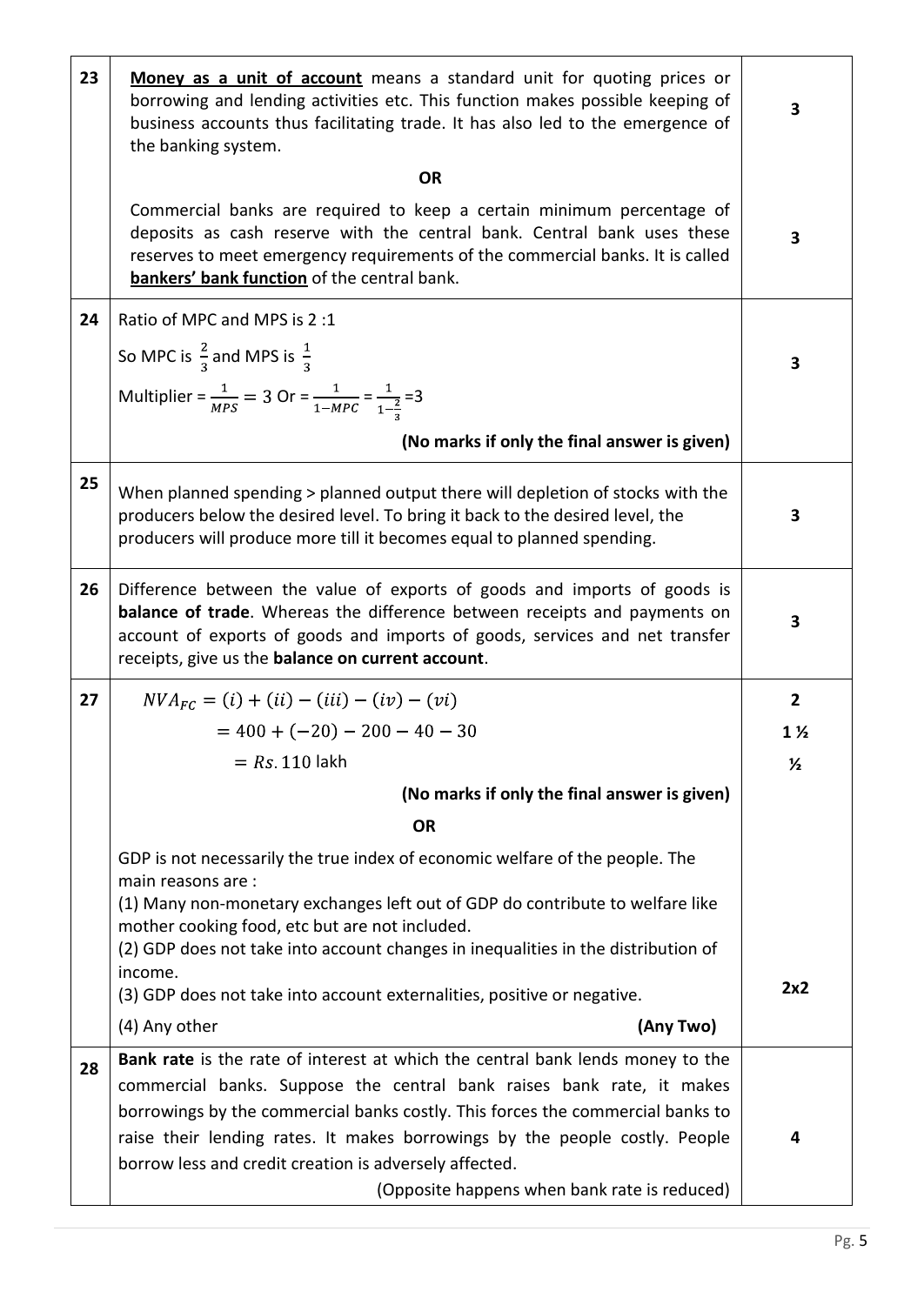| 23 | Money as a unit of account means a standard unit for quoting prices or<br>borrowing and lending activities etc. This function makes possible keeping of<br>business accounts thus facilitating trade. It has also led to the emergence of<br>the banking system.                                                                                                                   | 3              |  |  |  |  |  |
|----|------------------------------------------------------------------------------------------------------------------------------------------------------------------------------------------------------------------------------------------------------------------------------------------------------------------------------------------------------------------------------------|----------------|--|--|--|--|--|
|    | <b>OR</b>                                                                                                                                                                                                                                                                                                                                                                          |                |  |  |  |  |  |
|    | Commercial banks are required to keep a certain minimum percentage of<br>deposits as cash reserve with the central bank. Central bank uses these<br>reserves to meet emergency requirements of the commercial banks. It is called<br>bankers' bank function of the central bank.                                                                                                   | 3              |  |  |  |  |  |
| 24 | Ratio of MPC and MPS is 2:1                                                                                                                                                                                                                                                                                                                                                        |                |  |  |  |  |  |
|    | So MPC is $\frac{2}{3}$ and MPS is $\frac{1}{3}$                                                                                                                                                                                                                                                                                                                                   | 3              |  |  |  |  |  |
|    | Multiplier = $\frac{1}{MPS}$ = 3 Or = $\frac{1}{1-MPC}$ = $\frac{1}{1-\frac{2}{3}}$ = 3                                                                                                                                                                                                                                                                                            |                |  |  |  |  |  |
|    | (No marks if only the final answer is given)                                                                                                                                                                                                                                                                                                                                       |                |  |  |  |  |  |
| 25 | When planned spending > planned output there will depletion of stocks with the<br>producers below the desired level. To bring it back to the desired level, the<br>producers will produce more till it becomes equal to planned spending.                                                                                                                                          | 3              |  |  |  |  |  |
| 26 | Difference between the value of exports of goods and imports of goods is<br><b>balance of trade</b> . Whereas the difference between receipts and payments on<br>account of exports of goods and imports of goods, services and net transfer<br>receipts, give us the <b>balance on current account</b> .                                                                          | 3              |  |  |  |  |  |
| 27 | $NVA_{FC} = (i) + (ii) - (iii) - (iv) - (vi)$                                                                                                                                                                                                                                                                                                                                      | $\overline{2}$ |  |  |  |  |  |
|    | $= 400 + (-20) - 200 - 40 - 30$                                                                                                                                                                                                                                                                                                                                                    | $1\frac{1}{2}$ |  |  |  |  |  |
|    | $= Rs 110$ lakh                                                                                                                                                                                                                                                                                                                                                                    | $\frac{1}{2}$  |  |  |  |  |  |
|    | (No marks if only the final answer is given)                                                                                                                                                                                                                                                                                                                                       |                |  |  |  |  |  |
|    | <b>OR</b>                                                                                                                                                                                                                                                                                                                                                                          |                |  |  |  |  |  |
|    | GDP is not necessarily the true index of economic welfare of the people. The<br>main reasons are :<br>(1) Many non-monetary exchanges left out of GDP do contribute to welfare like<br>mother cooking food, etc but are not included.<br>(2) GDP does not take into account changes in inequalities in the distribution of                                                         |                |  |  |  |  |  |
|    | income.<br>(3) GDP does not take into account externalities, positive or negative.                                                                                                                                                                                                                                                                                                 | 2x2            |  |  |  |  |  |
|    | (4) Any other<br>(Any Two)                                                                                                                                                                                                                                                                                                                                                         |                |  |  |  |  |  |
| 28 | Bank rate is the rate of interest at which the central bank lends money to the<br>commercial banks. Suppose the central bank raises bank rate, it makes<br>borrowings by the commercial banks costly. This forces the commercial banks to<br>raise their lending rates. It makes borrowings by the people costly. People<br>borrow less and credit creation is adversely affected. | 4              |  |  |  |  |  |
|    | (Opposite happens when bank rate is reduced)                                                                                                                                                                                                                                                                                                                                       |                |  |  |  |  |  |